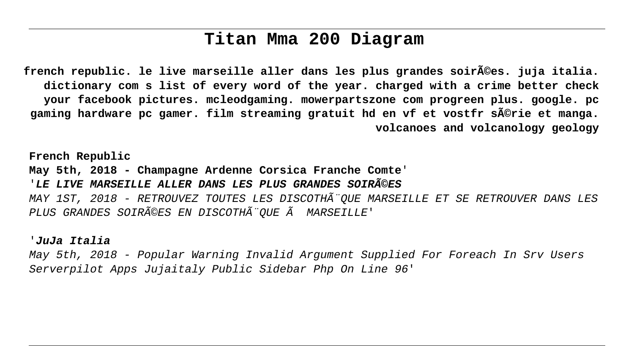# **Titan Mma 200 Diagram**

**french republic. le live marseille aller dans les plus grandes soirées. juja italia. dictionary com s list of every word of the year. charged with a crime better check your facebook pictures. mcleodgaming. mowerpartszone com progreen plus. google. pc gaming hardware pc gamer. film streaming gratuit hd en vf et vostfr série et manga. volcanoes and volcanology geology**

**French Republic May 5th, 2018 - Champagne Ardenne Corsica Franche Comte**' '**LE LIVE MARSEILLE ALLER DANS LES PLUS GRANDES SOIRéES** MAY 1ST, 2018 - RETROUVEZ TOUTES LES DISCOTHÃ"OUE MARSEILLE ET SE RETROUVER DANS LES PLUS GRANDES SOIRéES EN DISCOTHÃ"OUE Ã MARSEILLE'

#### '**JuJa Italia**

May 5th, 2018 - Popular Warning Invalid Argument Supplied For Foreach In Srv Users Serverpilot Apps Jujaitaly Public Sidebar Php On Line 96'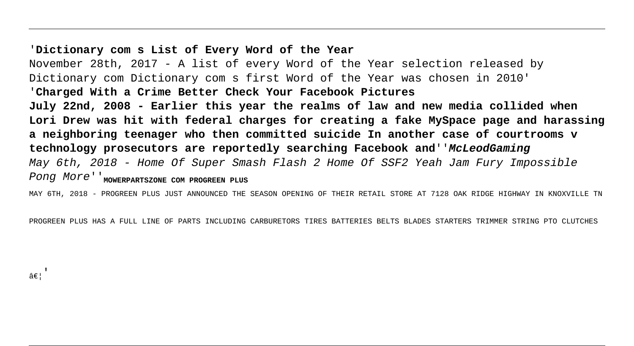#### '**Dictionary com s List of Every Word of the Year**

November 28th, 2017 - A list of every Word of the Year selection released by Dictionary com Dictionary com s first Word of the Year was chosen in 2010' '**Charged With a Crime Better Check Your Facebook Pictures July 22nd, 2008 - Earlier this year the realms of law and new media collided when Lori Drew was hit with federal charges for creating a fake MySpace page and harassing a neighboring teenager who then committed suicide In another case of courtrooms v technology prosecutors are reportedly searching Facebook and**''**McLeodGaming** May 6th, 2018 - Home Of Super Smash Flash 2 Home Of SSF2 Yeah Jam Fury Impossible Pong More<sup>'</sup> Mowerprartszone com Progreen Plus

MAY 6TH, 2018 - PROGREEN PLUS JUST ANNOUNCED THE SEASON OPENING OF THEIR RETAIL STORE AT 7128 OAK RIDGE HIGHWAY IN KNOXVILLE TN

PROGREEN PLUS HAS A FULL LINE OF PARTS INCLUDING CARBURETORS TIRES BATTERIES BELTS BLADES STARTERS TRIMMER STRING PTO CLUTCHES

 $A \in I$